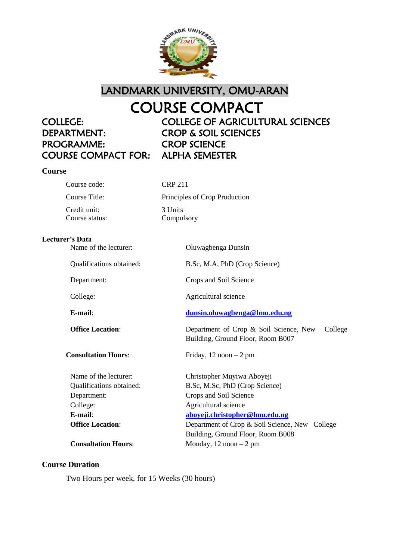

LANDMARK UNIVERSITY, OMU-ARAN

# COURSE COMPACT

# DEPARTMENT: CROP & SOIL SCIENCES PROGRAMME: CROP SCIENCE COURSE COMPACT FOR: ALPHA SEMESTER

# COLLEGE: COLLEGE OF AGRICULTURAL SCIENCES

# **Course**

Course code: CRP 211 Credit unit: 3 Units Course status: Compulsory

Course Title: Principles of Crop Production

#### **Lecturer's Data**

| Name of the lecturer:      | Oluwagbenga Dunsin                                                                     |
|----------------------------|----------------------------------------------------------------------------------------|
| Qualifications obtained:   | B.Sc, M.A, PhD (Crop Science)                                                          |
| Department:                | Crops and Soil Science                                                                 |
| College:                   | Agricultural science                                                                   |
| $E$ -mail:                 | dunsin.oluwagbenga@lmu.edu.ng                                                          |
| <b>Office Location:</b>    | Department of Crop & Soil Science, New<br>College<br>Building, Ground Floor, Room B007 |
| <b>Consultation Hours:</b> | Friday, $12 \text{ noon} - 2 \text{ pm}$                                               |
| Name of the lecturer:      | Christopher Muyiwa Aboyeji                                                             |
| Qualifications obtained:   | B.Sc, M.Sc, PhD (Crop Science)                                                         |
| Department:                | Crops and Soil Science                                                                 |
| College:                   | Agricultural science                                                                   |
| $E$ -mail:                 | aboyeji.christopher@lmu.edu.ng                                                         |
| <b>Office Location:</b>    | Department of Crop & Soil Science, New College                                         |
|                            | Building, Ground Floor, Room B008                                                      |
| <b>Consultation Hours:</b> | Monday, $12 \text{ noon} - 2 \text{ pm}$                                               |

# **Course Duration**

Two Hours per week, for 15 Weeks (30 hours)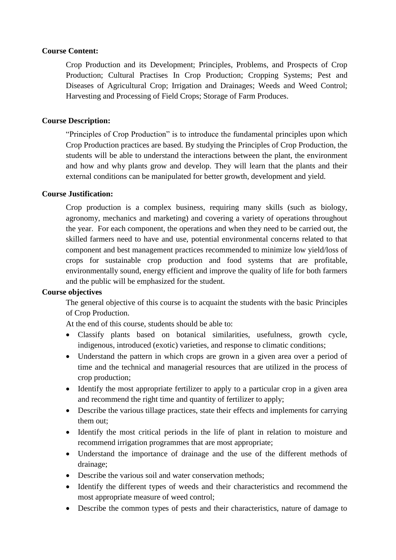#### **Course Content:**

Crop Production and its Development; Principles, Problems, and Prospects of Crop Production; Cultural Practises In Crop Production; Cropping Systems; Pest and Diseases of Agricultural Crop; Irrigation and Drainages; Weeds and Weed Control; Harvesting and Processing of Field Crops; Storage of Farm Produces.

#### **Course Description:**

"Principles of Crop Production" is to introduce the fundamental principles upon which Crop Production practices are based. By studying the Principles of Crop Production, the students will be able to understand the interactions between the plant, the environment and how and why plants grow and develop. They will learn that the plants and their external conditions can be manipulated for better growth, development and yield.

#### **Course Justification:**

Crop production is a complex business, requiring many skills (such as biology, agronomy, mechanics and marketing) and covering a variety of operations throughout the year. For each component, the operations and when they need to be carried out, the skilled farmers need to have and use, potential environmental concerns related to that component and best management practices recommended to minimize low yield/loss of crops for sustainable crop production and food systems that are profitable, environmentally sound, energy efficient and improve the quality of life for both farmers and the public will be emphasized for the student.

#### **Course objectives**

The general objective of this course is to acquaint the students with the basic Principles of Crop Production.

At the end of this course, students should be able to:

- Classify plants based on botanical similarities, usefulness, growth cycle, indigenous, introduced (exotic) varieties, and response to climatic conditions;
- Understand the pattern in which crops are grown in a given area over a period of time and the technical and managerial resources that are utilized in the process of crop production;
- Identify the most appropriate fertilizer to apply to a particular crop in a given area and recommend the right time and quantity of fertilizer to apply;
- Describe the various tillage practices, state their effects and implements for carrying them out;
- Identify the most critical periods in the life of plant in relation to moisture and recommend irrigation programmes that are most appropriate;
- Understand the importance of drainage and the use of the different methods of drainage;
- Describe the various soil and water conservation methods;
- Identify the different types of weeds and their characteristics and recommend the most appropriate measure of weed control;
- Describe the common types of pests and their characteristics, nature of damage to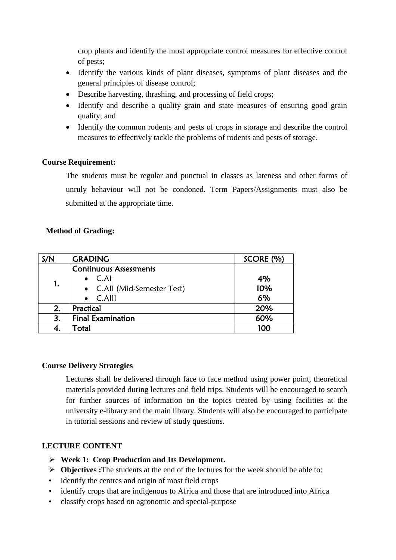crop plants and identify the most appropriate control measures for effective control of pests;

- Identify the various kinds of plant diseases, symptoms of plant diseases and the general principles of disease control;
- Describe harvesting, thrashing, and processing of field crops;
- Identify and describe a quality grain and state measures of ensuring good grain quality; and
- Identify the common rodents and pests of crops in storage and describe the control measures to effectively tackle the problems of rodents and pests of storage.

# **Course Requirement:**

The students must be regular and punctual in classes as lateness and other forms of unruly behaviour will not be condoned. Term Papers/Assignments must also be submitted at the appropriate time.

#### **Method of Grading:**

| S/N | <b>GRADING</b>                | SCORE (%) |
|-----|-------------------------------|-----------|
|     | <b>Continuous Assessments</b> |           |
|     | $\bullet$ C.Al                | 4%        |
| 1.  | • C.All (Mid-Semester Test)   | 10%       |
|     | $\bullet$ C.Alll              | 6%        |
| 2.  | Practical                     | 20%       |
| 3.  | <b>Final Examination</b>      | 60%       |
|     | Total                         | 100       |

# **Course Delivery Strategies**

Lectures shall be delivered through face to face method using power point, theoretical materials provided during lectures and field trips. Students will be encouraged to search for further sources of information on the topics treated by using facilities at the university e-library and the main library. Students will also be encouraged to participate in tutorial sessions and review of study questions.

#### **LECTURE CONTENT**

- **Week 1: Crop Production and Its Development.**
- **Objectives :**The students at the end of the lectures for the week should be able to:
- identify the centres and origin of most field crops
- identify crops that are indigenous to Africa and those that are introduced into Africa
- classify crops based on agronomic and special-purpose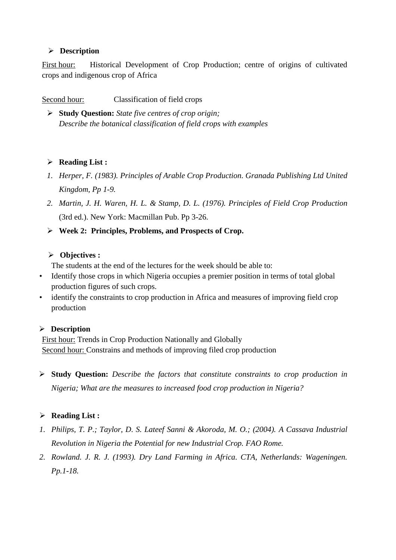# **Description**

First hour: Historical Development of Crop Production; centre of origins of cultivated crops and indigenous crop of Africa

Second hour: Classification of field crops

 **Study Question:** *State five centres of crop origin; Describe the botanical classification of field crops with examples*

# **Reading List :**

- *1. Herper, F. (1983). Principles of Arable Crop Production. Granada Publishing Ltd United Kingdom, Pp 1-9.*
- *2. Martin, J. H. Waren, H. L. & Stamp, D. L. (1976). Principles of Field Crop Production*  (3rd ed.). New York: Macmillan Pub. Pp 3-26.
- **Week 2: Principles, Problems, and Prospects of Crop.**

# **Objectives :**

The students at the end of the lectures for the week should be able to:

- Identify those crops in which Nigeria occupies a premier position in terms of total global production figures of such crops.
- identify the constraints to crop production in Africa and measures of improving field crop production

# **Description**

First hour: Trends in Crop Production Nationally and Globally Second hour: Constrains and methods of improving filed crop production

 **Study Question:** *Describe the factors that constitute constraints to crop production in Nigeria; What are the measures to increased food crop production in Nigeria?*

# **Reading List :**

- *1. Philips, T. P.; Taylor, D. S. Lateef Sanni & Akoroda, M. O.; (2004). A Cassava Industrial Revolution in Nigeria the Potential for new Industrial Crop. FAO Rome.*
- *2. Rowland. J. R. J. (1993). Dry Land Farming in Africa. CTA, Netherlands: Wageningen. Pp.1-18.*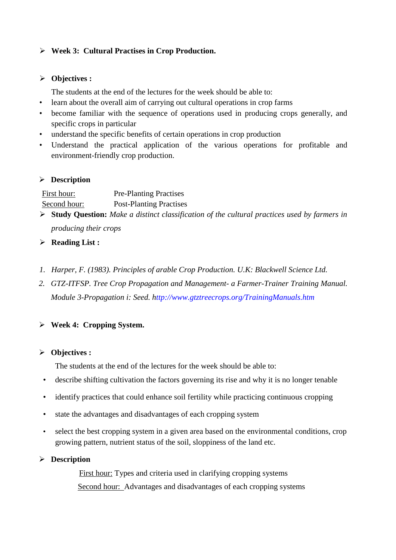# **Week 3: Cultural Practises in Crop Production.**

#### **Objectives :**

The students at the end of the lectures for the week should be able to:

- learn about the overall aim of carrying out cultural operations in crop farms
- become familiar with the sequence of operations used in producing crops generally, and specific crops in particular
- understand the specific benefits of certain operations in crop production
- Understand the practical application of the various operations for profitable and environment-friendly crop production.

# **Description**

| First hour:  | <b>Pre-Planting Practises</b>  |
|--------------|--------------------------------|
| Second hour: | <b>Post-Planting Practises</b> |

- **Study Question:** *Make a distinct classification of the cultural practices used by farmers in producing their crops*
- **Reading List :**
- *1. Harper, F. (1983). Principles of arable Crop Production. U.K: Blackwell Science Ltd.*
- *2. GTZ-ITFSP. Tree Crop Propagation and Management- a Farmer-Trainer Training Manual. Module 3-Propagation i: Seed. http://www.gtztreecrops.org/TrainingManuals.htm*

# **Week 4: Cropping System.**

# **Objectives :**

The students at the end of the lectures for the week should be able to:

- describe shifting cultivation the factors governing its rise and why it is no longer tenable
- identify practices that could enhance soil fertility while practicing continuous cropping
- state the advantages and disadvantages of each cropping system
- select the best cropping system in a given area based on the environmental conditions, crop growing pattern, nutrient status of the soil, sloppiness of the land etc.

# **Description**

First hour: Types and criteria used in clarifying cropping systems Second hour: Advantages and disadvantages of each cropping systems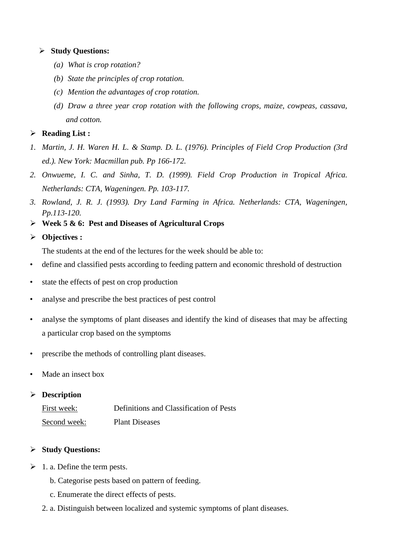#### **Study Questions:**

- *(a) What is crop rotation?*
- *(b) State the principles of crop rotation.*
- *(c) Mention the advantages of crop rotation.*
- *(d) Draw a three year crop rotation with the following crops, maize, cowpeas, cassava, and cotton.*

#### **Reading List :**

- *1. Martin, J. H. Waren H. L. & Stamp. D. L. (1976). Principles of Field Crop Production (3rd ed.). New York: Macmillan pub. Pp 166-172.*
- *2. Onwueme, I. C. and Sinha, T. D. (1999). Field Crop Production in Tropical Africa. Netherlands: CTA, Wageningen. Pp. 103-117.*
- *3. Rowland, J. R. J. (1993). Dry Land Farming in Africa. Netherlands: CTA, Wageningen, Pp.113-120.*
- **Week 5 & 6: Pest and Diseases of Agricultural Crops**

# **Objectives :**

The students at the end of the lectures for the week should be able to:

- define and classified pests according to feeding pattern and economic threshold of destruction
- state the effects of pest on crop production
- analyse and prescribe the best practices of pest control
- analyse the symptoms of plant diseases and identify the kind of diseases that may be affecting a particular crop based on the symptoms
- prescribe the methods of controlling plant diseases.
- Made an insect box

# **Description**

| First week:  | Definitions and Classification of Pests |
|--------------|-----------------------------------------|
| Second week: | <b>Plant Diseases</b>                   |

# **Study Questions:**

- $\geq 1$ . a. Define the term pests.
	- b. Categorise pests based on pattern of feeding.
	- c. Enumerate the direct effects of pests.
	- 2. a. Distinguish between localized and systemic symptoms of plant diseases.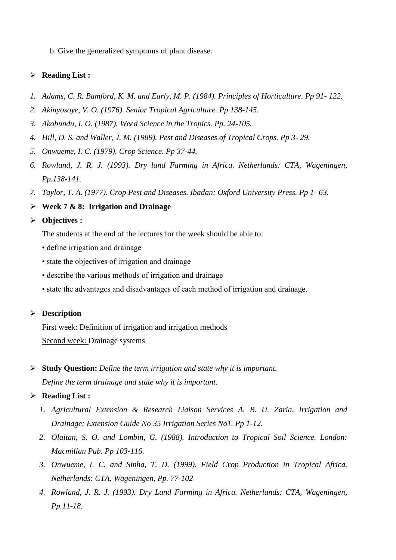b. Give the generalized symptoms of plant disease.

# **Reading List :**

- *1. Adams, C. R. Bamford, K. M. and Early, M. P. (1984). Principles of Horticulture. Pp 91- 122.*
- *2. Akinyosoye, V. O. (1976). Senior Tropical Agriculture. Pp 138-145.*
- *3. Akobundu, I. O. (1987). Weed Science in the Tropics. Pp. 24-105.*
- *4. Hill, D. S. and Waller, J. M. (1989). Pest and Diseases of Tropical Crops. Pp 3- 29.*
- *5. Onwueme, I. C. (1979). Crop Science. Pp 37-44.*
- *6. Rowland, J. R. J. (1993). Dry land Farming in Africa. Netherlands: CTA, Wageningen, Pp.138-141.*
- *7. Taylor, T. A. (1977). Crop Pest and Diseases. Ibadan: Oxford University Press. Pp 1- 63.*
- **Week 7 & 8: Irrigation and Drainage**

# **Objectives :**

The students at the end of the lectures for the week should be able to:

- define irrigation and drainage
- state the objectives of irrigation and drainage
- describe the various methods of irrigation and drainage
- state the advantages and disadvantages of each method of irrigation and drainage.

# **Description**

First week: Definition of irrigation and irrigation methods Second week: Drainage systems

 **Study Question:** *Define the term irrigation and state why it is important. Define the term drainage and state why it is important.*

# **Reading List :**

- *1. Agricultural Extension & Research Liaison Services A. B. U. Zaria, Irrigation and Drainage; Extension Guide No 35 Irrigation Series No1. Pp 1-12.*
- *2. Olaitan, S. O. and Lombin, G. (1988). Introduction to Tropical Soil Science. London: Macmillan Pub. Pp 103-116.*
- *3. Onwueme, I. C. and Sinha, T. D. (1999). Field Crop Production in Tropical Africa. Netherlands: CTA, Wageningen, Pp. 77-102*
- *4. Rowland, J. R. J. (1993). Dry Land Farming in Africa. Netherlands: CTA, Wageningen, Pp.11-18.*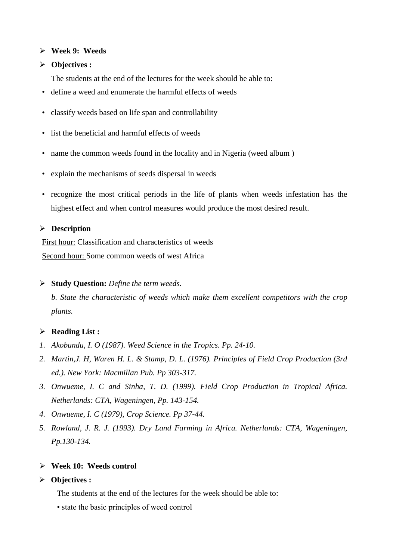#### **Week 9: Weeds**

#### **Objectives :**

The students at the end of the lectures for the week should be able to:

- define a weed and enumerate the harmful effects of weeds
- classify weeds based on life span and controllability
- list the beneficial and harmful effects of weeds
- name the common weeds found in the locality and in Nigeria (weed album )
- explain the mechanisms of seeds dispersal in weeds
- recognize the most critical periods in the life of plants when weeds infestation has the highest effect and when control measures would produce the most desired result.

#### **Description**

First hour: Classification and characteristics of weeds Second hour: Some common weeds of west Africa

#### **Study Question:** *Define the term weeds.*

*b. State the characteristic of weeds which make them excellent competitors with the crop plants.*

#### **Reading List :**

- *1. Akobundu, I. O (1987). Weed Science in the Tropics. Pp. 24-10.*
- *2. Martin,J. H, Waren H. L. & Stamp, D. L. (1976). Principles of Field Crop Production (3rd ed.). New York: Macmillan Pub. Pp 303-317.*
- *3. Onwueme, I. C and Sinha, T. D. (1999). Field Crop Production in Tropical Africa. Netherlands: CTA, Wageningen, Pp. 143-154.*
- *4. Onwueme, I. C (1979), Crop Science. Pp 37-44.*
- *5. Rowland, J. R. J. (1993). Dry Land Farming in Africa. Netherlands: CTA, Wageningen, Pp.130-134.*

#### **Week 10: Weeds control**

#### **Objectives :**

The students at the end of the lectures for the week should be able to:

• state the basic principles of weed control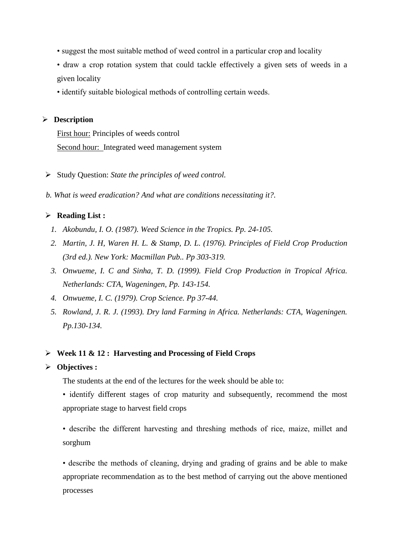- suggest the most suitable method of weed control in a particular crop and locality
- draw a crop rotation system that could tackle effectively a given sets of weeds in a given locality
- identify suitable biological methods of controlling certain weeds.

#### **Description**

First hour: Principles of weeds control Second hour: Integrated weed management system

- Study Question: *State the principles of weed control.*
- *b. What is weed eradication? And what are conditions necessitating it?.*

# **Reading List :**

- *1. Akobundu, I. O. (1987). Weed Science in the Tropics. Pp. 24-105.*
- *2. Martin, J. H, Waren H. L. & Stamp, D. L. (1976). Principles of Field Crop Production (3rd ed.). New York: Macmillan Pub.. Pp 303-319.*
- *3. Onwueme, I. C and Sinha, T. D. (1999). Field Crop Production in Tropical Africa. Netherlands: CTA, Wageningen, Pp. 143-154.*
- *4. Onwueme, I. C. (1979). Crop Science. Pp 37-44.*
- *5. Rowland, J. R. J. (1993). Dry land Farming in Africa. Netherlands: CTA, Wageningen. Pp.130-134.*

#### **Week 11 & 12 : Harvesting and Processing of Field Crops**

#### **Objectives :**

The students at the end of the lectures for the week should be able to:

• identify different stages of crop maturity and subsequently, recommend the most appropriate stage to harvest field crops

• describe the different harvesting and threshing methods of rice, maize, millet and sorghum

• describe the methods of cleaning, drying and grading of grains and be able to make appropriate recommendation as to the best method of carrying out the above mentioned processes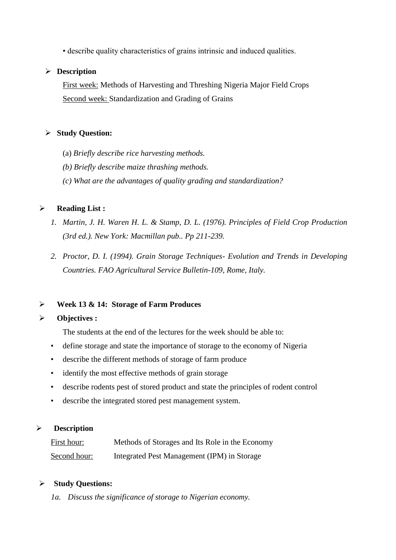• describe quality characteristics of grains intrinsic and induced qualities.

#### **Description**

First week: Methods of Harvesting and Threshing Nigeria Major Field Crops Second week: Standardization and Grading of Grains

#### **Study Question:**

- (a) *Briefly describe rice harvesting methods.*
- *(b) Briefly describe maize thrashing methods.*
- *(c) What are the advantages of quality grading and standardization?*

# **Reading List :**

- *1. Martin, J. H. Waren H. L. & Stamp, D. L. (1976). Principles of Field Crop Production (3rd ed.). New York: Macmillan pub.. Pp 211-239.*
- *2. Proctor, D. I. (1994). Grain Storage Techniques- Evolution and Trends in Developing Countries. FAO Agricultural Service Bulletin-109, Rome, Italy.*

#### **Week 13 & 14: Storage of Farm Produces**

#### **Objectives :**

- The students at the end of the lectures for the week should be able to:
- define storage and state the importance of storage to the economy of Nigeria
- describe the different methods of storage of farm produce
- identify the most effective methods of grain storage
- describe rodents pest of stored product and state the principles of rodent control
- describe the integrated stored pest management system.

# **Description**

| First hour:  | Methods of Storages and Its Role in the Economy |
|--------------|-------------------------------------------------|
| Second hour: | Integrated Pest Management (IPM) in Storage     |

#### **Study Questions:**

*1a. Discuss the significance of storage to Nigerian economy.*